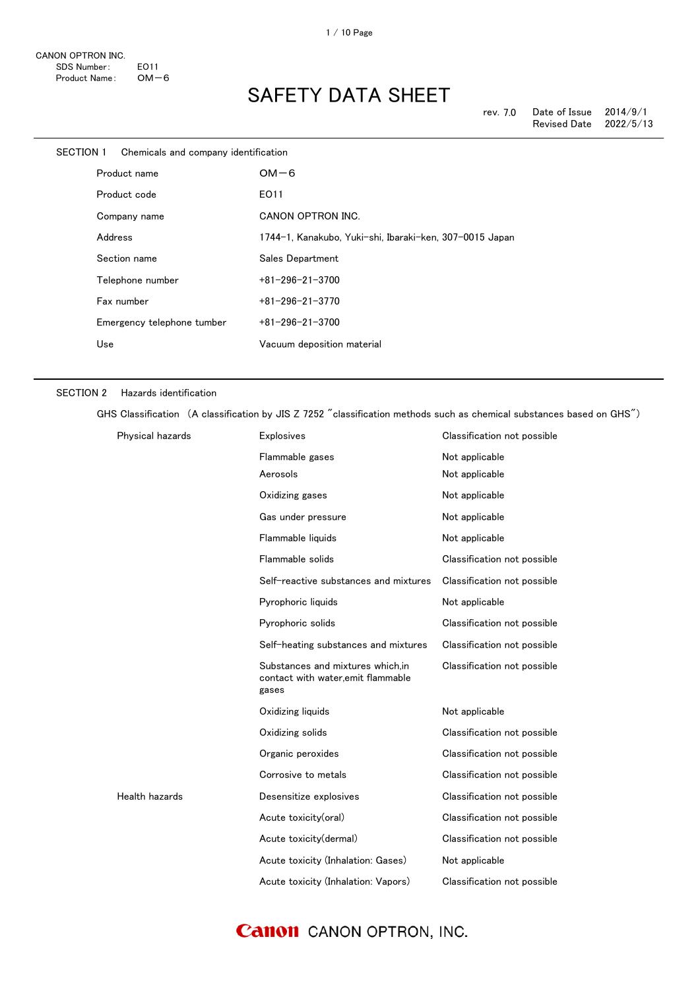| SECTION 1 | Chemicals and company identification |                                                         |
|-----------|--------------------------------------|---------------------------------------------------------|
|           | Product name                         | $OM-6$                                                  |
|           | Product code                         | EO11                                                    |
|           | Company name                         | CANON OPTRON INC.                                       |
|           | Address                              | 1744-1, Kanakubo, Yuki-shi, Ibaraki-ken, 307-0015 Japan |
|           | Section name                         | Sales Department                                        |
|           | Telephone number                     | $+81 - 296 - 21 - 3700$                                 |
|           | Fax number                           | $+81 - 296 - 21 - 3770$                                 |
|           | Emergency telephone tumber           | $+81 - 296 - 21 - 3700$                                 |
|           | Use                                  | Vacuum deposition material                              |
|           |                                      |                                                         |

#### SECTION 2 Hazards identification

GHS Classification (A classification by JIS Z 7252 "classification methods such as chemical substances based on GHS")

| Physical hazards | Explosives                                                                     | Classification not possible |
|------------------|--------------------------------------------------------------------------------|-----------------------------|
|                  | Flammable gases                                                                | Not applicable              |
|                  | Aerosols                                                                       | Not applicable              |
|                  | Oxidizing gases                                                                | Not applicable              |
|                  | Gas under pressure                                                             | Not applicable              |
|                  | Flammable liquids                                                              | Not applicable              |
|                  | Flammable solids                                                               | Classification not possible |
|                  | Self-reactive substances and mixtures                                          | Classification not possible |
|                  | Pyrophoric liquids                                                             | Not applicable              |
|                  | Pyrophoric solids                                                              | Classification not possible |
|                  | Self-heating substances and mixtures                                           | Classification not possible |
|                  | Substances and mixtures which.in<br>contact with water.emit flammable<br>gases | Classification not possible |
|                  | Oxidizing liquids                                                              | Not applicable              |
|                  | Oxidizing solids                                                               | Classification not possible |
|                  | Organic peroxides                                                              | Classification not possible |
|                  | Corrosive to metals                                                            | Classification not possible |
| Health hazards   | Desensitize explosives                                                         | Classification not possible |
|                  | Acute toxicity(oral)                                                           | Classification not possible |
|                  | Acute toxicity(dermal)                                                         | Classification not possible |
|                  | Acute toxicity (Inhalation: Gases)                                             | Not applicable              |
|                  | Acute toxicity (Inhalation: Vapors)                                            | Classification not possible |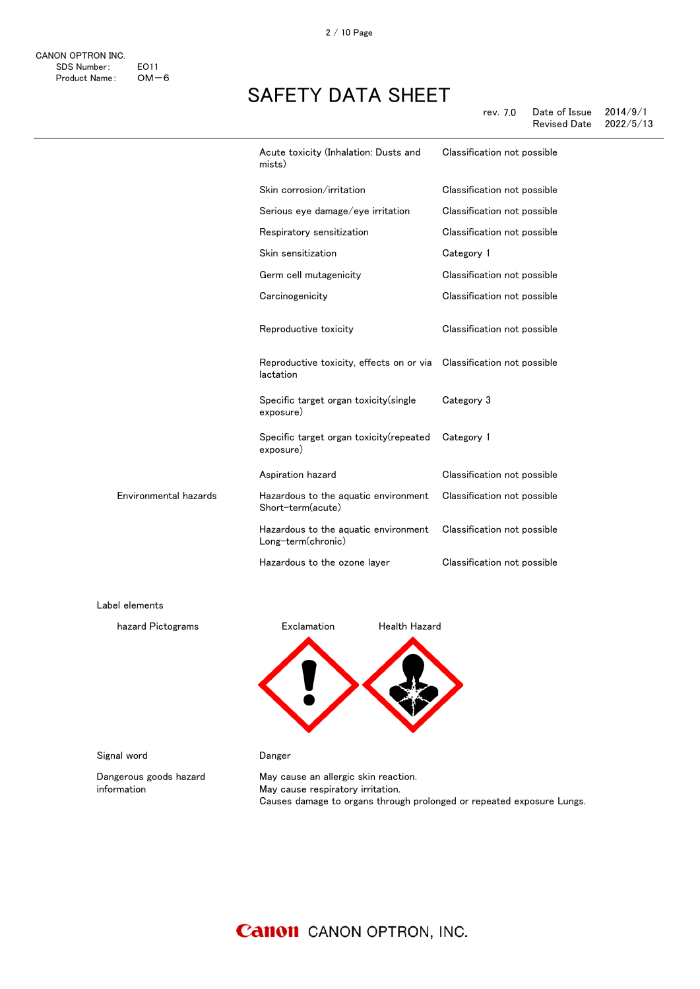|                       | Acute toxicity (Inhalation: Dusts and<br>mists)            | Classification not possible |
|-----------------------|------------------------------------------------------------|-----------------------------|
|                       | Skin corrosion/irritation                                  | Classification not possible |
|                       | Serious eye damage/eye irritation                          | Classification not possible |
|                       | Respiratory sensitization                                  | Classification not possible |
|                       | Skin sensitization                                         | Category 1                  |
|                       | Germ cell mutagenicity                                     | Classification not possible |
|                       | Carcinogenicity                                            | Classification not possible |
|                       | Reproductive toxicity                                      | Classification not possible |
|                       | Reproductive toxicity, effects on or via<br>lactation      | Classification not possible |
|                       | Specific target organ toxicity (single<br>exposure)        | Category 3                  |
|                       | Specific target organ toxicity(repeated<br>exposure)       | Category 1                  |
|                       | Aspiration hazard                                          | Classification not possible |
| Environmental hazards | Hazardous to the aquatic environment<br>Short-term(acute)  | Classification not possible |
|                       | Hazardous to the aquatic environment<br>Long-term(chronic) | Classification not possible |
|                       | Hazardous to the ozone layer                               | Classification not possible |
| Label elements        |                                                            |                             |
| hazard Pictograms     | Exclamation<br><b>Health Hazard</b>                        |                             |
|                       |                                                            |                             |

Signal word **Danger** 

Dangerous goods hazard information

May cause an allergic skin reaction. May cause respiratory irritation. Causes damage to organs through prolonged or repeated exposure Lungs.

2 / 10 Page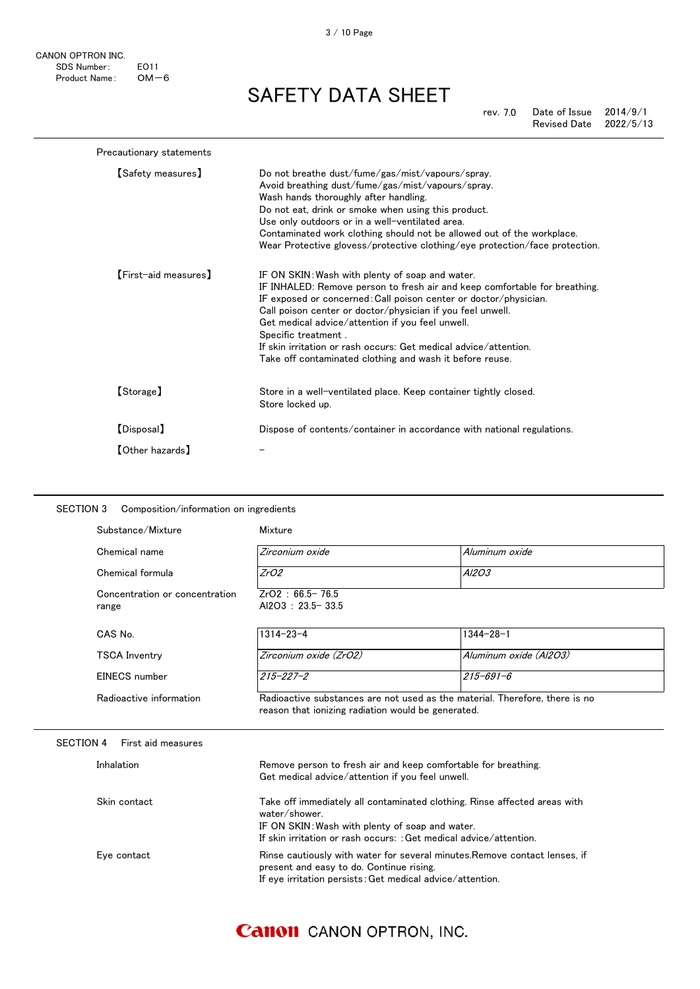CANON OPTRON INC. SDS Number: E011<br>Product Name: OM-6 Product Name:

SAFETY DATA SHEET

rev. 7.0 Date of Issue 2014/9/1 Revised Date 2022/5/13

| Precautionary statements |                                                                                                                                                                                                                                                                                                                                                                                                                                                                            |
|--------------------------|----------------------------------------------------------------------------------------------------------------------------------------------------------------------------------------------------------------------------------------------------------------------------------------------------------------------------------------------------------------------------------------------------------------------------------------------------------------------------|
| [Safety measures]        | Do not breathe dust/fume/gas/mist/vapours/spray.<br>Avoid breathing dust/fume/gas/mist/vapours/spray.<br>Wash hands thoroughly after handling.<br>Do not eat, drink or smoke when using this product.<br>Use only outdoors or in a well-ventilated area.<br>Contaminated work clothing should not be allowed out of the workplace.<br>Wear Protective glovess/protective clothing/eye protection/face protection.                                                          |
| [First-aid measures]     | IF ON SKIN: Wash with plenty of soap and water.<br>IF INHALED: Remove person to fresh air and keep comfortable for breathing.<br>IF exposed or concerned: Call poison center or doctor/physician.<br>Call poison center or doctor/physician if you feel unwell.<br>Get medical advice/attention if you feel unwell.<br>Specific treatment.<br>If skin irritation or rash occurs: Get medical advice/attention.<br>Take off contaminated clothing and wash it before reuse. |
| [Storage]                | Store in a well-ventilated place. Keep container tightly closed.<br>Store locked up.                                                                                                                                                                                                                                                                                                                                                                                       |
| [Disposal]               | Dispose of contents/container in accordance with national regulations.                                                                                                                                                                                                                                                                                                                                                                                                     |
| <b>[Other hazards]</b>   |                                                                                                                                                                                                                                                                                                                                                                                                                                                                            |

| Substance/Mixture                       | Mixture                                                                                                                                |                                                                             |
|-----------------------------------------|----------------------------------------------------------------------------------------------------------------------------------------|-----------------------------------------------------------------------------|
| Chemical name                           | Zirconium oxide                                                                                                                        | Aluminum oxide                                                              |
| Chemical formula                        | ZrO2                                                                                                                                   | A/203                                                                       |
| Concentration or concentration<br>range | $ZrO2 : 66.5 - 76.5$<br>Al2O3: 23.5-33.5                                                                                               |                                                                             |
| CAS No.                                 | $1314 - 23 - 4$                                                                                                                        | $1344 - 28 - 1$                                                             |
| <b>TSCA Inventry</b>                    | Zirconium oxide (ZrO2)                                                                                                                 | Aluminum oxide (Al2O3)                                                      |
| EINECS number                           | $215 - 227 - 2$                                                                                                                        | $215 - 691 - 6$                                                             |
| Radioactive information                 | reason that ionizing radiation would be generated.                                                                                     | Radioactive substances are not used as the material. Therefore, there is no |
| <b>SECTION 4</b><br>First aid measures  |                                                                                                                                        |                                                                             |
|                                         |                                                                                                                                        |                                                                             |
| Inhalation                              | Remove person to fresh air and keep comfortable for breathing.<br>Get medical advice/attention if you feel unwell.                     |                                                                             |
| Skin contact                            | water/shower.<br>IF ON SKIN: Wash with plenty of soap and water.<br>If skin irritation or rash occurs: : Get medical advice/attention. | Take off immediately all contaminated clothing. Rinse affected areas with   |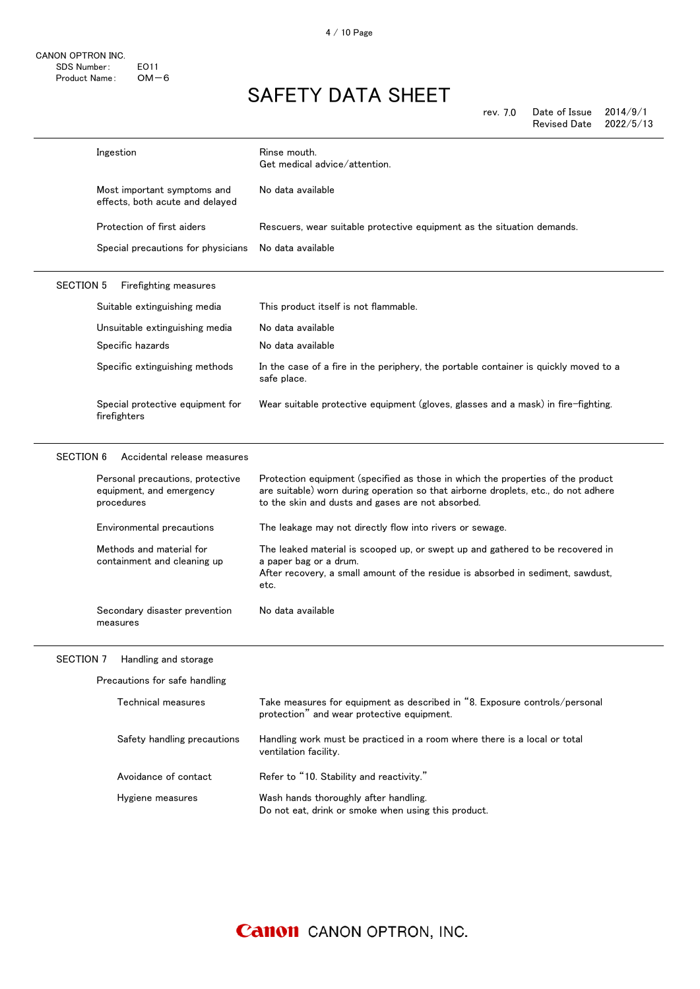| rev. 7.0 | Date of Issue $2014/9/1$ |  |
|----------|--------------------------|--|
|          | Revised Date 2022/5/13   |  |

|                  | Ingestion                                                                  | Rinse mouth.<br>Get medical advice/attention.                                                                                                                                                                              |
|------------------|----------------------------------------------------------------------------|----------------------------------------------------------------------------------------------------------------------------------------------------------------------------------------------------------------------------|
|                  | Most important symptoms and<br>effects, both acute and delayed             | No data available                                                                                                                                                                                                          |
|                  | Protection of first aiders                                                 | Rescuers, wear suitable protective equipment as the situation demands.                                                                                                                                                     |
|                  | Special precautions for physicians                                         | No data available                                                                                                                                                                                                          |
| <b>SECTION 5</b> | Firefighting measures                                                      |                                                                                                                                                                                                                            |
|                  | Suitable extinguishing media                                               | This product itself is not flammable.                                                                                                                                                                                      |
|                  | Unsuitable extinguishing media                                             | No data available                                                                                                                                                                                                          |
|                  | Specific hazards                                                           | No data available                                                                                                                                                                                                          |
|                  | Specific extinguishing methods                                             | In the case of a fire in the periphery, the portable container is quickly moved to a<br>safe place.                                                                                                                        |
|                  | Special protective equipment for<br>firefighters                           | Wear suitable protective equipment (gloves, glasses and a mask) in fire-fighting.                                                                                                                                          |
|                  |                                                                            |                                                                                                                                                                                                                            |
| <b>SECTION 6</b> | Accidental release measures                                                |                                                                                                                                                                                                                            |
|                  | Personal precautions, protective<br>equipment, and emergency<br>procedures | Protection equipment (specified as those in which the properties of the product<br>are suitable) worn during operation so that airborne droplets, etc., do not adhere<br>to the skin and dusts and gases are not absorbed. |
|                  | Environmental precautions                                                  | The leakage may not directly flow into rivers or sewage.                                                                                                                                                                   |
|                  | Methods and material for<br>containment and cleaning up                    | The leaked material is scooped up, or swept up and gathered to be recovered in<br>a paper bag or a drum.<br>After recovery, a small amount of the residue is absorbed in sediment, sawdust,                                |
|                  | Secondary disaster prevention<br>measures                                  | etc.<br>No data available                                                                                                                                                                                                  |
|                  | SECTION 7 Handling and storage                                             |                                                                                                                                                                                                                            |
|                  | Precautions for safe handling                                              |                                                                                                                                                                                                                            |
|                  | Technical measures                                                         | Take measures for equipment as described in "8. Exposure controls/personal<br>protection" and wear protective equipment.                                                                                                   |
|                  | Safety handling precautions                                                | Handling work must be practiced in a room where there is a local or total<br>ventilation facility.                                                                                                                         |
|                  | Avoidance of contact                                                       | Refer to "10. Stability and reactivity."                                                                                                                                                                                   |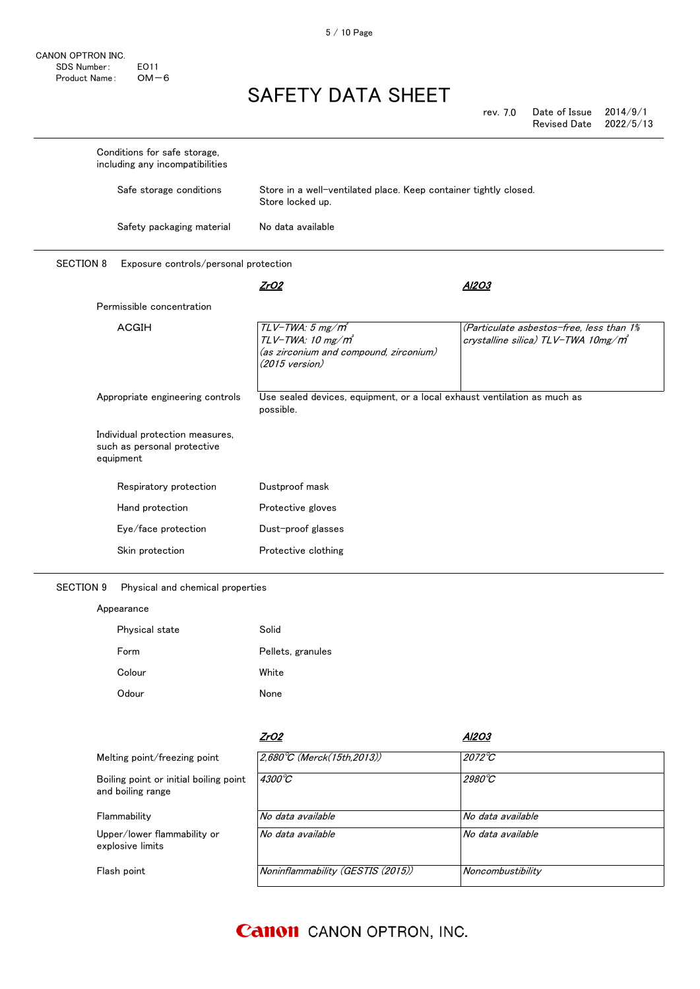CANON OPTRON INC. SDS Number: E011<br>Product Name: OM-6 Product Name:

# SAFETY DATA SHEET

rev. 7.0 Date of Issue 2014/9/1 Revised Date 2022/5/13

| Conditions for safe storage,<br>including any incompatibilities             |                                                                                                                                   |                                                                                |
|-----------------------------------------------------------------------------|-----------------------------------------------------------------------------------------------------------------------------------|--------------------------------------------------------------------------------|
| Safe storage conditions                                                     | Store in a well-ventilated place. Keep container tightly closed.<br>Store locked up.                                              |                                                                                |
| Safety packaging material                                                   | No data available                                                                                                                 |                                                                                |
| <b>SECTION 8</b><br>Exposure controls/personal protection                   |                                                                                                                                   |                                                                                |
|                                                                             | ZrO2                                                                                                                              | A1203                                                                          |
| Permissible concentration                                                   |                                                                                                                                   |                                                                                |
| <b>ACGIH</b>                                                                | $TLV$ -TWA: 5 mg/m <sup>3</sup><br>$TLV$ -TWA: 10 mg/m $^3$<br>(as zirconium and compound, zirconium)<br>$(2015 \text{ version})$ | (Particulate asbestos-free, less than 1%<br>crystalline silica) TLV-TWA 10mg/m |
| Appropriate engineering controls                                            | Use sealed devices, equipment, or a local exhaust ventilation as much as<br>possible.                                             |                                                                                |
| Individual protection measures,<br>such as personal protective<br>equipment |                                                                                                                                   |                                                                                |
| Respiratory protection                                                      | Dustproof mask                                                                                                                    |                                                                                |
| Hand protection                                                             | Protective gloves                                                                                                                 |                                                                                |
| Eye/face protection                                                         | Dust-proof glasses                                                                                                                |                                                                                |
| Skin protection                                                             | Protective clothing                                                                                                               |                                                                                |

SECTION 9 Physical and chemical properties

#### Appearance

| Physical state | Solid             |
|----------------|-------------------|
| Form           | Pellets, granules |
| Colour         | White             |
| Odour          | None              |

|                                                             | ZrO2                              | Al2O3             |
|-------------------------------------------------------------|-----------------------------------|-------------------|
| Melting point/freezing point                                | 2.680°C (Merck(15th.2013))        | $2072^{\circ}C$   |
| Boiling point or initial boiling point<br>and boiling range | $4300^{\circ}C$                   | $2980^{\circ}$ C  |
| Flammability                                                | No data available                 | No data available |
| Upper/lower flammability or<br>explosive limits             | No data available                 | No data available |
| Flash point                                                 | Noninflammability (GESTIS (2015)) | Noncombustibility |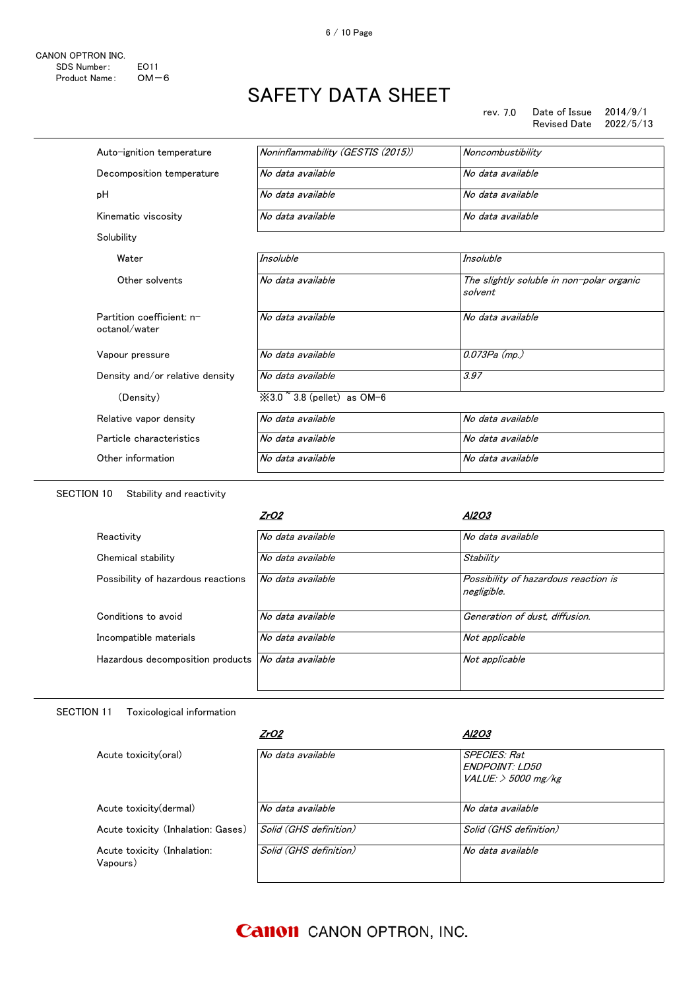6 / 10 Page

| Auto-ignition temperature                  | Noninflammability (GESTIS (2015))             | Noncombustibility                                    |
|--------------------------------------------|-----------------------------------------------|------------------------------------------------------|
| Decomposition temperature                  | No data available                             | No data available                                    |
| pH                                         | No data available                             | No data available                                    |
| Kinematic viscosity                        | No data available                             | No data available                                    |
| Solubility                                 |                                               |                                                      |
| Water                                      | Insoluble                                     | <b>Insoluble</b>                                     |
| Other solvents                             | No data available                             | The slightly soluble in non-polar organic<br>solvent |
| Partition coefficient: n-<br>octanol/water | No data available                             | No data available                                    |
| Vapour pressure                            | No data available                             | $0.073Pa$ (mp.)                                      |
| Density and/or relative density            | No data available                             | 3.97                                                 |
| (Density)                                  | $\text{\%}3.0$ $\degree$ 3.8 (pellet) as OM-6 |                                                      |
| Relative vapor density                     | No data available                             | No data available                                    |
| Particle characteristics                   | No data available                             | No data available                                    |
| Other information                          | No data available                             | No data available                                    |
|                                            |                                               |                                                      |

SECTION 10 Stability and reactivity

#### SECTION 11 Toxicological information

|                                         | ZrO2                   | Al2O3                                                                |
|-----------------------------------------|------------------------|----------------------------------------------------------------------|
| Acute toxicity(oral)                    | No data available      | <b>SPECIES: Rat</b><br><b>FNDPOINT LD50</b><br>VALUE: $>$ 5000 mg/kg |
| Acute toxicity (dermal)                 | No data available      | No data available                                                    |
| Acute toxicity (Inhalation: Gases)      | Solid (GHS definition) | Solid (GHS definition)                                               |
| Acute toxicity (Inhalation:<br>Vapours) | Solid (GHS definition) | No data available                                                    |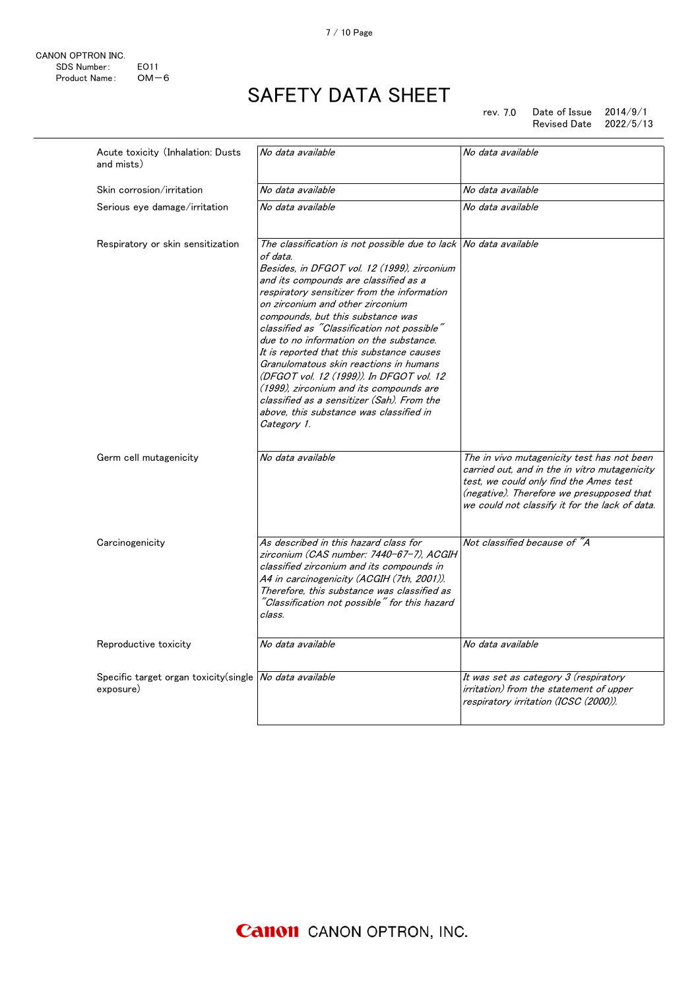rev. 7.0 Date of Issue 2014/9/1 Revised Date 2022/5/13

| Acute toxicity (Inhalation: Dusts<br>and mists)                      | No data available                                                                                                                                                                                                                                                                                                                                                                                                                                                                                                                                                                                                                                                            | No data available                                                                                                                                                                                                                    |
|----------------------------------------------------------------------|------------------------------------------------------------------------------------------------------------------------------------------------------------------------------------------------------------------------------------------------------------------------------------------------------------------------------------------------------------------------------------------------------------------------------------------------------------------------------------------------------------------------------------------------------------------------------------------------------------------------------------------------------------------------------|--------------------------------------------------------------------------------------------------------------------------------------------------------------------------------------------------------------------------------------|
| Skin corrosion/irritation                                            | No data available                                                                                                                                                                                                                                                                                                                                                                                                                                                                                                                                                                                                                                                            | No data available                                                                                                                                                                                                                    |
| Serious eye damage/irritation                                        | No data available                                                                                                                                                                                                                                                                                                                                                                                                                                                                                                                                                                                                                                                            | No data available                                                                                                                                                                                                                    |
| Respiratory or skin sensitization                                    | The classification is not possible due to lack No data available<br>of data.<br>Besides, in DFGOT vol. 12 (1999), zirconium<br>and its compounds are classified as a<br>respiratory sensitizer from the information<br>on zirconium and other zirconium<br>compounds, but this substance was<br>classified as "Classification not possible"<br>due to no information on the substance.<br>It is reported that this substance causes<br>Granulomatous skin reactions in humans<br>(DFGOT vol. 12 (1999)). In DFGOT vol. 12<br>(1999), zirconium and its compounds are<br>classified as a sensitizer (Sah). From the<br>above, this substance was classified in<br>Category 1. |                                                                                                                                                                                                                                      |
| Germ cell mutagenicity                                               | No data available                                                                                                                                                                                                                                                                                                                                                                                                                                                                                                                                                                                                                                                            | The in vivo mutagenicity test has not been<br>carried out, and in the in vitro mutagenicity<br>test, we could only find the Ames test<br>(negative). Therefore we presupposed that<br>we could not classify it for the lack of data. |
| Carcinogenicity                                                      | As described in this hazard class for<br>zirconium (CAS number: 7440-67-7). ACGIH<br>classified zirconium and its compounds in<br>A4 in carcinogenicity (ACGIH (7th, 2001)).<br>Therefore, this substance was classified as<br>"Classification not possible" for this hazard<br>class.                                                                                                                                                                                                                                                                                                                                                                                       | Not classified because of "A                                                                                                                                                                                                         |
| Reproductive toxicity                                                | No data available                                                                                                                                                                                                                                                                                                                                                                                                                                                                                                                                                                                                                                                            | No data available                                                                                                                                                                                                                    |
| Specific target organ toxicity(single No data available<br>exposure) |                                                                                                                                                                                                                                                                                                                                                                                                                                                                                                                                                                                                                                                                              | It was set as category 3 (respiratory<br>irritation) from the statement of upper<br>respiratory irritation (ICSC (2000)).                                                                                                            |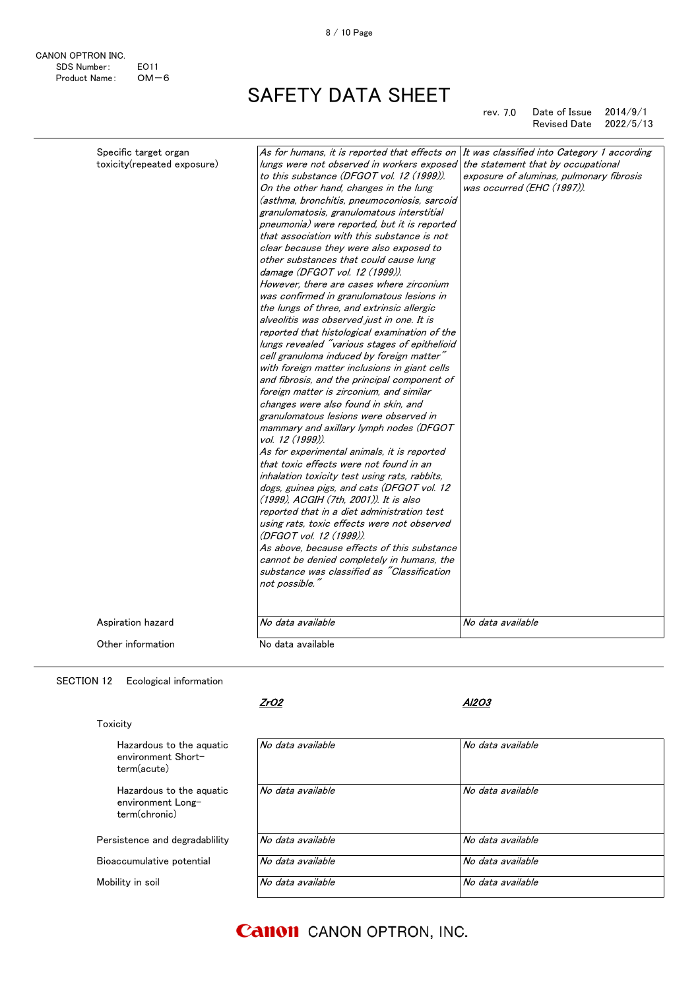rev. 7.0 Date of Issue 2014/9/1 Revised Date 2022/5/13

| Specific target organ<br>toxicity(repeated exposure) | As for humans, it is reported that effects on<br>lungs were not observed in workers exposed<br>to this substance (DFGOT vol. 12 (1999)).<br>On the other hand, changes in the lung<br>(asthma, bronchitis, pneumoconiosis, sarcoid<br>granulomatosis, granulomatous interstitial<br>pneumonia) were reported, but it is reported<br>that association with this substance is not<br>clear because they were also exposed to<br>other substances that could cause lung<br>damage (DFGOT vol. 12 (1999)).<br>However, there are cases where zirconium<br>was confirmed in granulomatous lesions in<br>the lungs of three, and extrinsic allergic<br>alveolitis was observed just in one. It is<br>reported that histological examination of the<br>lungs revealed "various stages of epithelioid<br>cell granuloma induced by foreign matter"<br>with foreign matter inclusions in giant cells<br>and fibrosis, and the principal component of<br>foreign matter is zirconium, and similar<br>changes were also found in skin, and<br>granulomatous lesions were observed in<br>mammary and axillary lymph nodes (DFGOT<br>vol. 12 (1999)).<br>As for experimental animals, it is reported<br>that toxic effects were not found in an<br>inhalation toxicity test using rats, rabbits,<br>dogs, guinea pigs, and cats (DFGOT vol. 12<br>(1999), ACGIH (7th, 2001)). It is also<br>reported that in a diet administration test<br>using rats, toxic effects were not observed<br>(DFGOT vol. 12 (1999)).<br>As above, because effects of this substance<br>cannot be denied completely in humans, the<br>substance was classified as "Classification"<br>not possible." | It was classified into Category 1 according<br>the statement that by occupational<br>exposure of aluminas, pulmonary fibrosis<br>was occurred (EHC (1997)). |
|------------------------------------------------------|---------------------------------------------------------------------------------------------------------------------------------------------------------------------------------------------------------------------------------------------------------------------------------------------------------------------------------------------------------------------------------------------------------------------------------------------------------------------------------------------------------------------------------------------------------------------------------------------------------------------------------------------------------------------------------------------------------------------------------------------------------------------------------------------------------------------------------------------------------------------------------------------------------------------------------------------------------------------------------------------------------------------------------------------------------------------------------------------------------------------------------------------------------------------------------------------------------------------------------------------------------------------------------------------------------------------------------------------------------------------------------------------------------------------------------------------------------------------------------------------------------------------------------------------------------------------------------------------------------------------------------------------------------------------|-------------------------------------------------------------------------------------------------------------------------------------------------------------|
| Aspiration hazard                                    | No data available                                                                                                                                                                                                                                                                                                                                                                                                                                                                                                                                                                                                                                                                                                                                                                                                                                                                                                                                                                                                                                                                                                                                                                                                                                                                                                                                                                                                                                                                                                                                                                                                                                                   | No data available                                                                                                                                           |
|                                                      |                                                                                                                                                                                                                                                                                                                                                                                                                                                                                                                                                                                                                                                                                                                                                                                                                                                                                                                                                                                                                                                                                                                                                                                                                                                                                                                                                                                                                                                                                                                                                                                                                                                                     |                                                                                                                                                             |
| Other information                                    | No data available                                                                                                                                                                                                                                                                                                                                                                                                                                                                                                                                                                                                                                                                                                                                                                                                                                                                                                                                                                                                                                                                                                                                                                                                                                                                                                                                                                                                                                                                                                                                                                                                                                                   |                                                                                                                                                             |

SECTION 12 Ecological information

### Toxicity

CANON OPTRON INC.

Product Name:

SDS Number: EO11<br>Product Name: OM-6

Hazardous to the aquatic environment Shortterm(acute) Hazardous to the aquatic environment Longterm(chronic)

Persistence and degradablility

Bioaccumulative potential

Mobility in soil

### ZrO2

#### Al2O3

| No data available | No data available |
|-------------------|-------------------|
| No data available | No data available |
| No data available | No data available |
| No data available | No data available |
| No data available | No data available |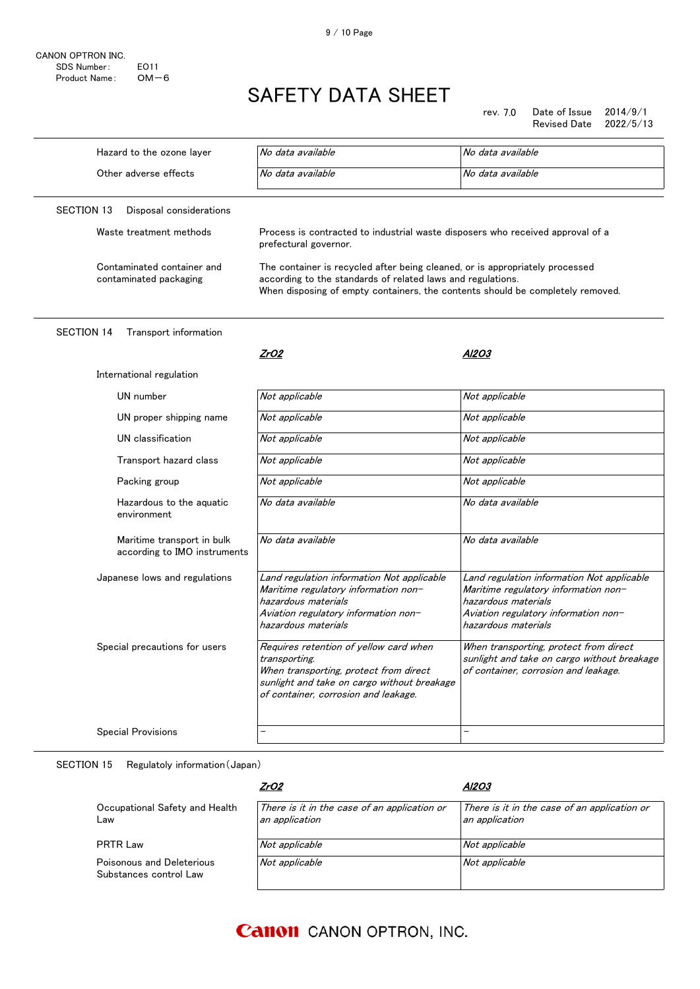CANON OPTRON INC. SDS Number: E011<br>Product Name: OM-6 Product Name:

# SAFETY DATA SHEET

rev. 7.0 Date of Issue 2014/9/1 Revised Date

| Hazard to the ozone layer                                  | No data available                                                                                                                                                                                                             | No data available                                                                                                                                                        |
|------------------------------------------------------------|-------------------------------------------------------------------------------------------------------------------------------------------------------------------------------------------------------------------------------|--------------------------------------------------------------------------------------------------------------------------------------------------------------------------|
| Other adverse effects                                      | No data available                                                                                                                                                                                                             | No data available                                                                                                                                                        |
| <b>SECTION 13</b><br>Disposal considerations               |                                                                                                                                                                                                                               |                                                                                                                                                                          |
| Waste treatment methods                                    | Process is contracted to industrial waste disposers who received approval of a<br>prefectural governor.                                                                                                                       |                                                                                                                                                                          |
| Contaminated container and<br>contaminated packaging       | The container is recycled after being cleaned, or is appropriately processed<br>according to the standards of related laws and regulations.<br>When disposing of empty containers, the contents should be completely removed. |                                                                                                                                                                          |
| <b>SECTION 14</b><br>Transport information                 |                                                                                                                                                                                                                               |                                                                                                                                                                          |
|                                                            | ZrO2                                                                                                                                                                                                                          | Al2O3                                                                                                                                                                    |
| International regulation                                   |                                                                                                                                                                                                                               |                                                                                                                                                                          |
| UN number                                                  | Not applicable                                                                                                                                                                                                                | Not applicable                                                                                                                                                           |
| UN proper shipping name                                    | Not applicable                                                                                                                                                                                                                | Not applicable                                                                                                                                                           |
| UN classification                                          | Not applicable                                                                                                                                                                                                                | Not applicable                                                                                                                                                           |
| Transport hazard class                                     | Not applicable                                                                                                                                                                                                                | Not applicable                                                                                                                                                           |
| Packing group                                              | Not applicable                                                                                                                                                                                                                | Not applicable                                                                                                                                                           |
| Hazardous to the aquatic<br>environment                    | No data available                                                                                                                                                                                                             | No data available                                                                                                                                                        |
| Maritime transport in bulk<br>according to IMO instruments | No data available                                                                                                                                                                                                             | No data available                                                                                                                                                        |
| Japanese lows and regulations                              | Land regulation information Not applicable<br>Maritime regulatory information non-<br>hazardous materials<br>Aviation regulatory information non-<br>hazardous materials                                                      | Land regulation information Not applicable<br>Maritime regulatory information non-<br>hazardous materials<br>Aviation regulatory information non-<br>hazardous materials |
| Special precautions for users                              | Requires retention of yellow card when<br>transporting.<br>When transporting, protect from direct<br>sunlight and take on cargo without breakage<br>of container, corrosion and leakage.                                      | When transporting, protect from direct<br>sunlight and take on cargo without breakage<br>of container, corrosion and leakage.                                            |
| <b>Special Provisions</b>                                  |                                                                                                                                                                                                                               |                                                                                                                                                                          |
|                                                            |                                                                                                                                                                                                                               |                                                                                                                                                                          |

SECTION 15 Regulatoly information(Japan)

|                                                     | ZrO2                                                           | AI2O3                                                          |
|-----------------------------------------------------|----------------------------------------------------------------|----------------------------------------------------------------|
| Occupational Safety and Health<br>Law               | There is it in the case of an application or<br>an application | There is it in the case of an application or<br>an application |
| <b>PRTR Law</b>                                     | Not applicable                                                 | Not applicable                                                 |
| Poisonous and Deleterious<br>Substances control Law | Not applicable                                                 | Not applicable                                                 |